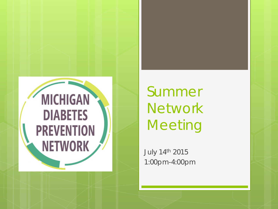

Summer **Network Meeting** 

July 14th 2015 1:00pm-4:00pm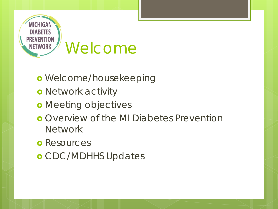

- Welcome/housekeeping
- **o** Network activity
- **o** Meeting objectives
- **o** Overview of the MI Diabetes Prevention **Network**
- **o** Resources
- o CDC/MDHHS Updates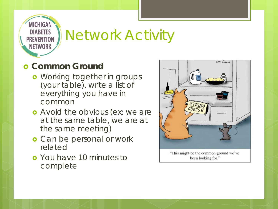

### Network Activity

#### **c** Common Ground

- **•** Working together in groups (your table), write a list of everything you have in common
- **o** Avoid the obvious (ex: we are at the same table, we are at the same meeting)
- **o** Can be personal or work related
- You have 10 minutes to complete

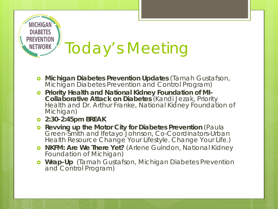

# Today's Meeting

- **Michigan Diabetes Prevention Updates** (Tamah Gustafson, Michigan Diabetes Prevention and Control Program)
- **Priority Health and National Kidney Foundation of MI- Collaborative Attack on Diabetes** (Kandi Jezak, Priority Health and Dr. Arthur Franke, National Kidney Foundation of Michigan)
- **2:30-2:45pm BREAK**
- **o** Revving up the Motor City for Diabetes Prevention (Paula Green-Smith and Ifetayo Johnson, Co-Coordinators-Urban Health Resource *Change Your Lifestyle. Change Your Life.*)
- **NKFM: Are We There Yet?** (Arlene Guindon, National Kidney Foundation of Michigan)
- **Wrap-Up** (Tamah Gustafson, Michigan Diabetes Prevention and Control Program)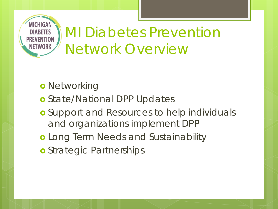

### MI Diabetes Prevention Network Overview

- **o** Networking
- o State/National DPP Updates
- **o** Support and Resources to help individuals and organizations implement DPP
- Long Term Needs and Sustainability
- **o** Strategic Partnerships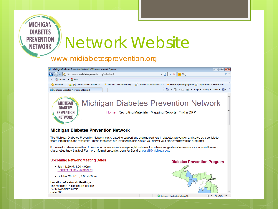

#### [www.midiabetesprevention.org](http://www.midiabetesprevention.org/)



share information and resources. These resources are intended to help you as you deliver your diabetes prevention programs.

If you want to share something from your organization with everyone, let us know. If you have suggestions for resources you would like us to share, let us know that too! For more information contact Jennifer Edsall at edsalli@michigan.gov.

#### **Upcoming Network Meeting Dates**

- July 14, 2015, 1:00-4:00pm Register for the July meeting
- October 28, 2015, 1:00-4:00pm

#### **Location of Network Meetings**

The Michigan Public Health Institute 2436 Woodlake Circle Suite 300

#### **Diabetes Prevention Program**



Internet | Protected Mode: On

 $\frac{1}{2}$  +  $\frac{100\%}{2}$  +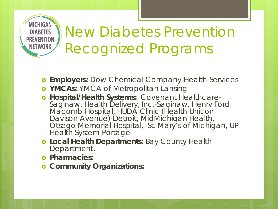

### New Diabetes Prevention Recognized Programs

- **Employers:** Dow Chemical Company-Health Services
- **YMCAs:** YMCA of Metropolitan Lansing
- **Hospital/Health Systems:** Covenant Healthcare- Saginaw, Health Delivery, Inc.-Saginaw, Henry Ford Macomb Hospital, HUDA Clinic (Health Unit on Davison Avenue)-Detroit, MidMichigan Health, Otsego Memorial Hospital, St. Mary's of Michigan, UP Health System-Portage
- **Local Health Departments:** Bay County Health Department,
- $\circ$  Pharmacies:
- **Community Organizations:**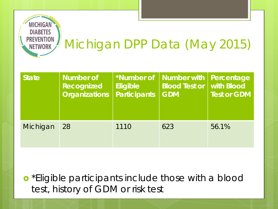

### Michigan DPP Data (May 2015)

| <b>State</b> | <b>Number of</b><br>Recognized<br><b>Organizations</b> | Eligible<br><b>Participants</b> | *Number of   Number with  <br><b>Blood Test or   with Blood</b><br><b>GDM</b> | Percentage<br><b>Test or GDM</b> |
|--------------|--------------------------------------------------------|---------------------------------|-------------------------------------------------------------------------------|----------------------------------|
| Michigan     | 28                                                     | 1110                            | 623                                                                           | 56.1%                            |

**o** \*Eligible participants include those with a blood test, history of GDM or risk test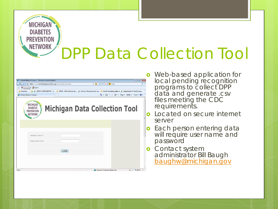### **PREVENTION** DPP Data Collection Tool

| Lifestyle Balance Course :: - Windows Internet Explorer                                                                                                            |              |                                                                                                                                    | ---<br>$-28$ |  |  |  |  |
|--------------------------------------------------------------------------------------------------------------------------------------------------------------------|--------------|------------------------------------------------------------------------------------------------------------------------------------|--------------|--|--|--|--|
| $\mathbf{H} \mathbf{B} \mathbf{B} \mathbf{B} \mathbf{B}$ $\mathbf{H} \mathbf{B}$ $\mathbf{H}$<br>- م<br>https://www.midiabetesprevention.org/partnerdata/login.php |              |                                                                                                                                    |              |  |  |  |  |
| Forward - <b>BR</b> Select<br>x                                                                                                                                    |              |                                                                                                                                    |              |  |  |  |  |
| Pavorites                                                                                                                                                          |              | P XEROX WORKCENTRE - S TRAIN - LMS Software by  P Chronic Disease Events Ca PK Health Spending Explorer P Department of Health and |              |  |  |  |  |
| Lifestyle Balance Course ::                                                                                                                                        |              |                                                                                                                                    |              |  |  |  |  |
| <b>MICHIGAN</b><br><b>DIABETES</b><br><b>PREVENTION</b><br><b>NETWORK</b>                                                                                          |              | <b>Michigan Data Collection Tool</b>                                                                                               | Ξ            |  |  |  |  |
|                                                                                                                                                                    |              |                                                                                                                                    |              |  |  |  |  |
| Lifestyle Coach ID                                                                                                                                                 |              |                                                                                                                                    |              |  |  |  |  |
| <b>Organization Code</b>                                                                                                                                           |              |                                                                                                                                    |              |  |  |  |  |
|                                                                                                                                                                    | <b>LOGIN</b> |                                                                                                                                    |              |  |  |  |  |
|                                                                                                                                                                    |              |                                                                                                                                    |              |  |  |  |  |
| Done                                                                                                                                                               |              | Internet   Protected Mode: On                                                                                                      | ⊕ 100%       |  |  |  |  |

**MICHIGAN DIABETES** 

**NETWORK** 

- **o** Web-based application for local pending recognition programs to collect DPP data and generate .csv files meeting the CDC requirements.
- **o** Located on secure internet server

**o** Each person entering data will require user name and password

**o** Contact system administrator Bill Baugh [baughw@michigan.gov](mailto:baughw@michigan.gov)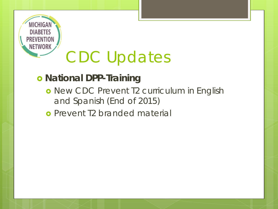

# CDC Updates

### **o** National DPP-Training

- o New CDC Prevent T2 curriculum in English and Spanish (End of 2015)
- **o** Prevent T2 branded material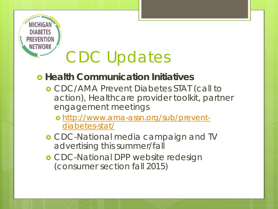

# CDC Updates

### $\bullet$  **Health Communication Initiatives**

- CDC/AMA Prevent Diabetes STAT (call to action), Healthcare provider toolkit, partner engagement meetings
	- o [http://www.ama-assn.org/sub/prevent](http://www.ama-assn.org/sub/prevent-diabetes-stat/)[diabetes-stat/](http://www.ama-assn.org/sub/prevent-diabetes-stat/)
- CDC-National media campaign and TV advertising this summer/fall
- CDC-National DPP website redesign (consumer section fall 2015)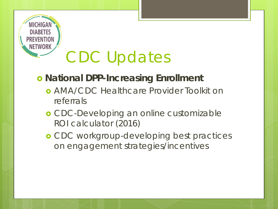

# CDC Updates

### $o$  **National DPP-Increasing Enrollment**

- AMA/CDC Healthcare Provider Toolkit on referrals
- **o** CDC-Developing an online customizable ROI calculator (2016)
- CDC workgroup-developing best practices on engagement strategies/incentives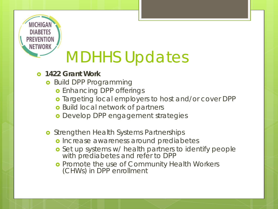

#### **1422 Grant Work**

- **o** Build DPP Programming
	- **o** Enhancing DPP offerings
	- o Targeting local employers to host and/or cover DPP
	- **o** Build local network of partners
	- Develop DPP engagement strategies
- **o** Strengthen Health Systems Partnerships
	- o Increase awareness around prediabetes
	- o Set up systems w/ health partners to identify people with prediabetes and refer to DPP
	- **o** Promote the use of Community Health Workers (CHWs) in DPP enrollment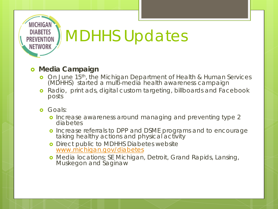

#### **o** Media Campaign

- On June 15th, the Michigan Department of Health & Human Services (MDHHS) started a multi-media health awareness campaign
- **o** Radio, print ads, digital custom targeting, billboards and Facebook posts
- **o** Goals:
	- o Increase awareness around managing and preventing type 2 diabetes
	- o Increase referrals to DPP and DSME programs and to encourage taking healthy actions and physical activity
	- **o** Direct public to MDHHS Diabetes website [www.michigan.gov/diabetes](http://www.michigan.gov/diabetes)
	- Media locations: SE Michigan, Detroit, Grand Rapids, Lansing, Muskegon and Saginaw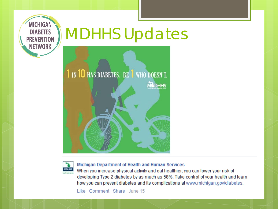





**Michigan Department of Health and Human Services** 

When you increase physical activity and eat healthier, you can lower your risk of developing Type 2 diabetes by as much as 58%. Take control of your health and learn how you can prevent diabetes and its complications at www.michigan.gov/diabetes.

Like · Comment · Share · June 15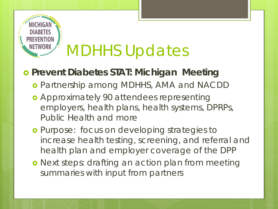# **DIARETE**

## MDHHS Updates

### **Prevent Diabetes STAT: Michigan Meeting**

- Partnership among MDHHS, AMA and NACDD
- Approximately 90 attendees representing employers, health plans, health systems, DPRPs, Public Health and more
- **o** Purpose: focus on developing strategies to increase health testing, screening, and referral and health plan and employer coverage of the DPP
- **o** Next steps: drafting an action plan from meeting summaries with input from partners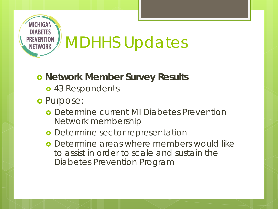

#### **o Network Member Survey Results**

- o 43 Respondents
- o Purpose:
	- Determine current MI Diabetes Prevention Network membership
	- **o** Determine sector representation
	- **o** Determine areas where members would like to assist in order to scale and sustain the Diabetes Prevention Program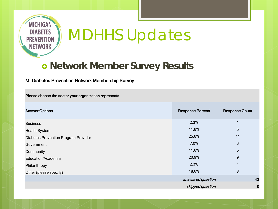

#### **o Network Member Survey Results**

#### MI Diabetes Prevention Network Membership Survey

Please choose the sector your organization represents.

| <b>Answer Options</b>                | <b>Response Percent</b> | <b>Response Count</b> |
|--------------------------------------|-------------------------|-----------------------|
| <b>Business</b>                      | 2.3%                    |                       |
| <b>Health System</b>                 | 11.6%                   | 5                     |
| Diabetes Prevention Program Provider | 25.6%                   | 11                    |
| Government                           | 7.0%                    | 3                     |
| Community                            | 11.6%                   | 5                     |
| Education/Academia                   | 20.9%                   | 9                     |
| Philanthropy                         | 2.3%                    |                       |
| Other (please specify)               | 18.6%                   | 8                     |
|                                      | answered question       | 43                    |
|                                      | skipped question<br>0   |                       |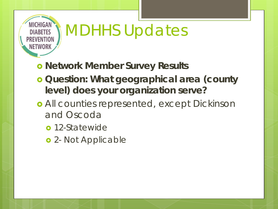

- **o Network Member Survey Results**
- *Question: What geographical area (county level) does your organization serve?*
- All counties represented, except Dickinson and Oscoda
	- **o** 12-Statewide
	- **o** 2- Not Applicable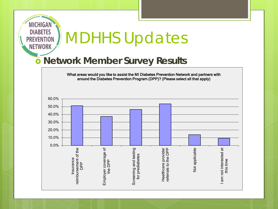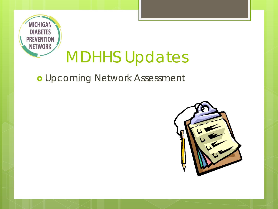

### o Upcoming Network Assessment

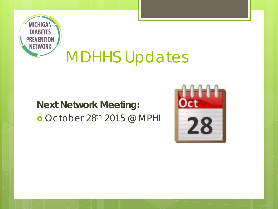

### **Next Network Meeting:** o October 28th 2015 @ MPHI